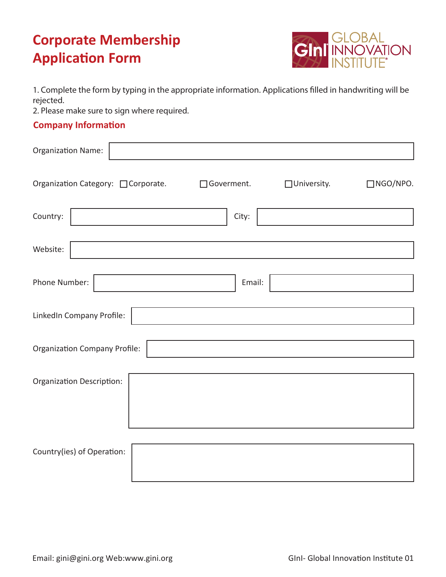

1. Complete the form by typing in the appropriate information. Applications filled in handwriting will be rejected.

2. Please make sure to sign where required.

## **Company Information**

| <b>Organization Name:</b>            |             |              |                 |  |
|--------------------------------------|-------------|--------------|-----------------|--|
| Organization Category: □ Corporate.  | □Goverment. | □University. | $\Box$ NGO/NPO. |  |
| Country:                             | City:       |              |                 |  |
| Website:                             |             |              |                 |  |
| Phone Number:                        | Email:      |              |                 |  |
| LinkedIn Company Profile:            |             |              |                 |  |
| <b>Organization Company Profile:</b> |             |              |                 |  |
| <b>Organization Description:</b>     |             |              |                 |  |
|                                      |             |              |                 |  |
| Country(ies) of Operation:           |             |              |                 |  |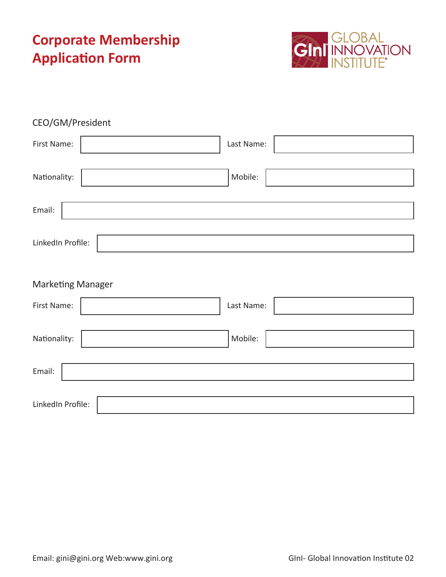

| CEO/GM/President         |            |
|--------------------------|------------|
| First Name:              | Last Name: |
| Nationality:             | Mobile:    |
| Email:                   |            |
| LinkedIn Profile:        |            |
| <b>Marketing Manager</b> |            |
| First Name:              | Last Name: |
| Nationality:             | Mobile:    |
| Email:                   |            |
| LinkedIn Profile:        |            |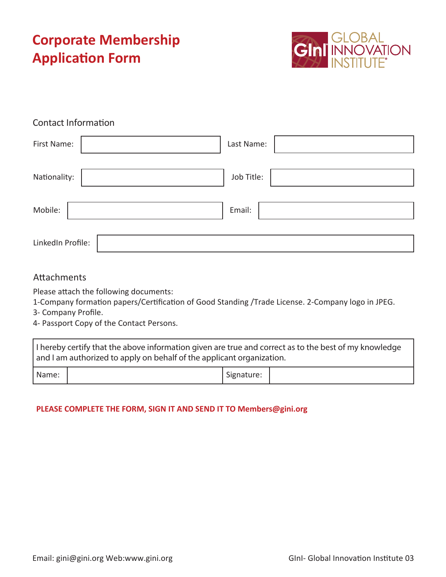

## Contact Information

| First Name:       | Last Name: |
|-------------------|------------|
| Nationality:      | Job Title: |
| Mobile:           | Email:     |
| LinkedIn Profile: |            |

### Attachments

Please attach the following documents:

1-Company formation papers/Certification of Good Standing /Trade License. 2-Company logo in JPEG.

3- Company Profile.

4- Passport Copy of the Contact Persons.

| I hereby certify that the above information given are true and correct as to the best of my knowledge<br>and I am authorized to apply on behalf of the applicant organization. |  |                         |  |
|--------------------------------------------------------------------------------------------------------------------------------------------------------------------------------|--|-------------------------|--|
| Name:                                                                                                                                                                          |  | <sup>I</sup> Signature: |  |

#### **PLEASE COMPLETE THE FORM, SIGN IT AND SEND IT TO Members@gini.org**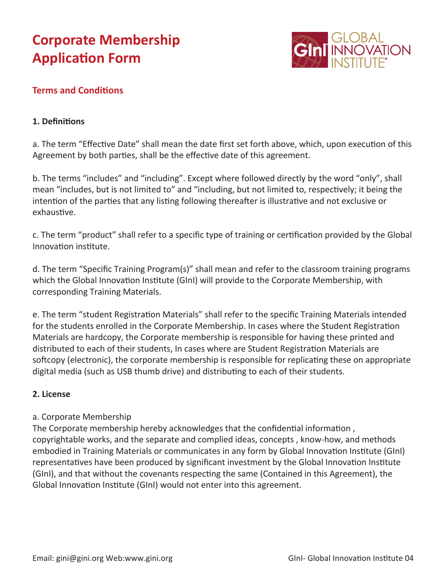

## **Terms and Conditions**

#### **1. Definitions**

a. The term "Effective Date" shall mean the date first set forth above, which, upon execution of this Agreement by both parties, shall be the effective date of this agreement.

b. The terms "includes" and "including". Except where followed directly by the word "only", shall mean "includes, but is not limited to" and "including, but not limited to, respectively; it being the intention of the parties that any listing following thereafter is illustrative and not exclusive or exhaustive.

c. The term "product" shall refer to a specific type of training or certification provided by the Global Innovation institute.

d. The term "Specific Training Program(s)" shall mean and refer to the classroom training programs which the Global Innovation Institute (GInI) will provide to the Corporate Membership, with corresponding Training Materials.

e. The term "student Registration Materials" shall refer to the specific Training Materials intended for the students enrolled in the Corporate Membership. In cases where the Student Registration Materials are hardcopy, the Corporate membership is responsible for having these printed and distributed to each of their students, In cases where are Student Registration Materials are softcopy (electronic), the corporate membership is responsible for replicating these on appropriate digital media (such as USB thumb drive) and distributing to each of their students.

#### **2. License**

#### a. Corporate Membership

The Corporate membership hereby acknowledges that the confidential information , copyrightable works, and the separate and complied ideas, concepts , know-how, and methods embodied in Training Materials or communicates in any form by Global Innovation Institute (GInI) representatives have been produced by significant investment by the Global Innovation Institute (GInI), and that without the covenants respecting the same (Contained in this Agreement), the Global Innovation Institute (GInI) would not enter into this agreement.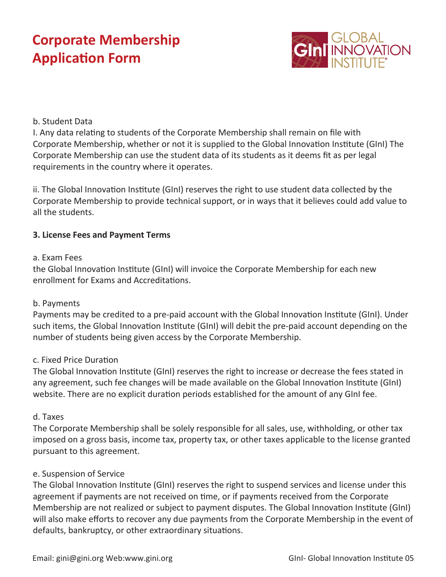

### b. Student Data

I. Any data relating to students of the Corporate Membership shall remain on file with Corporate Membership, whether or not it is supplied to the Global Innovation Institute (GInI) The Corporate Membership can use the student data of its students as it deems fit as per legal requirements in the country where it operates.

ii. The Global Innovation Institute (GInI) reserves the right to use student data collected by the Corporate Membership to provide technical support, or in ways that it believes could add value to all the students.

### **3. License Fees and Payment Terms**

#### a. Exam Fees

the Global Innovation Institute (GInI) will invoice the Corporate Membership for each new enrollment for Exams and Accreditations.

#### b. Payments

Payments may be credited to a pre-paid account with the Global Innovation Institute (GInI). Under such items, the Global Innovation Institute (GInI) will debit the pre-paid account depending on the number of students being given access by the Corporate Membership.

#### c. Fixed Price Duration

The Global Innovation Institute (GInI) reserves the right to increase or decrease the fees stated in any agreement, such fee changes will be made available on the Global Innovation Institute (GInI) website. There are no explicit duration periods established for the amount of any GInI fee.

#### d. Taxes

The Corporate Membership shall be solely responsible for all sales, use, withholding, or other tax imposed on a gross basis, income tax, property tax, or other taxes applicable to the license granted pursuant to this agreement.

#### e. Suspension of Service

The Global Innovation Institute (GInI) reserves the right to suspend services and license under this agreement if payments are not received on time, or if payments received from the Corporate Membership are not realized or subject to payment disputes. The Global Innovation Institute (GInI) will also make efforts to recover any due payments from the Corporate Membership in the event of defaults, bankruptcy, or other extraordinary situations.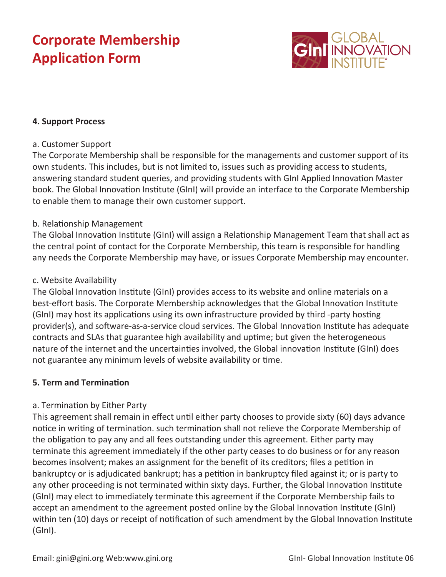

### **4. Support Process**

#### a. Customer Support

The Corporate Membership shall be responsible for the managements and customer support of its own students. This includes, but is not limited to, issues such as providing access to students, answering standard student queries, and providing students with GInI Applied Innovation Master book. The Global Innovation Institute (GInI) will provide an interface to the Corporate Membership to enable them to manage their own customer support.

#### b. Relationship Management

The Global Innovation Institute (GInI) will assign a Relationship Management Team that shall act as the central point of contact for the Corporate Membership, this team is responsible for handling any needs the Corporate Membership may have, or issues Corporate Membership may encounter.

#### c. Website Availability

The Global Innovation Institute (GInI) provides access to its website and online materials on a best-effort basis. The Corporate Membership acknowledges that the Global Innovation Institute (GInI) may host its applications using its own infrastructure provided by third -party hosting provider(s), and software-as-a-service cloud services. The Global Innovation Institute has adequate contracts and SLAs that guarantee high availability and uptime; but given the heterogeneous nature of the internet and the uncertainties involved, the Global innovation Institute (GInI) does not guarantee any minimum levels of website availability or time.

### **5. Term and Termination**

#### a. Termination by Either Party

This agreement shall remain in effect until either party chooses to provide sixty (60) days advance notice in writing of termination. such termination shall not relieve the Corporate Membership of the obligation to pay any and all fees outstanding under this agreement. Either party may terminate this agreement immediately if the other party ceases to do business or for any reason becomes insolvent; makes an assignment for the benefit of its creditors; files a petition in bankruptcy or is adjudicated bankrupt; has a petition in bankruptcy filed against it; or is party to any other proceeding is not terminated within sixty days. Further, the Global Innovation Institute (GInI) may elect to immediately terminate this agreement if the Corporate Membership fails to accept an amendment to the agreement posted online by the Global Innovation Institute (GInI) within ten (10) days or receipt of notification of such amendment by the Global Innovation Institute (GInI).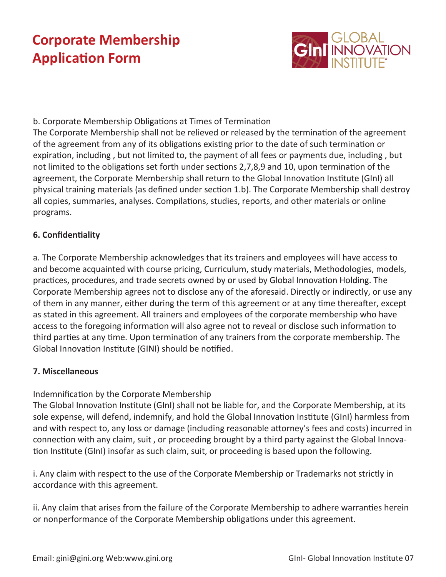

## b. Corporate Membership Obligations at Times of Termination

The Corporate Membership shall not be relieved or released by the termination of the agreement of the agreement from any of its obligations existing prior to the date of such termination or expiration, including , but not limited to, the payment of all fees or payments due, including , but not limited to the obligations set forth under sections 2,7,8,9 and 10, upon termination of the agreement, the Corporate Membership shall return to the Global Innovation Institute (GInI) all physical training materials (as defined under section 1.b). The Corporate Membership shall destroy all copies, summaries, analyses. Compilations, studies, reports, and other materials or online programs.

## **6. Confidentiality**

a. The Corporate Membership acknowledges that its trainers and employees will have access to and become acquainted with course pricing, Curriculum, study materials, Methodologies, models, practices, procedures, and trade secrets owned by or used by Global Innovation Holding. The Corporate Membership agrees not to disclose any of the aforesaid. Directly or indirectly, or use any of them in any manner, either during the term of this agreement or at any time thereafter, except as stated in this agreement. All trainers and employees of the corporate membership who have access to the foregoing information will also agree not to reveal or disclose such information to third parties at any time. Upon termination of any trainers from the corporate membership. The Global Innovation Institute (GINI) should be notified.

### **7. Miscellaneous**

Indemnification by the Corporate Membership

The Global Innovation Institute (GInI) shall not be liable for, and the Corporate Membership, at its sole expense, will defend, indemnify, and hold the Global Innovation Institute (GInI) harmless from and with respect to, any loss or damage (including reasonable attorney's fees and costs) incurred in connection with any claim, suit , or proceeding brought by a third party against the Global Innovation Institute (GInI) insofar as such claim, suit, or proceeding is based upon the following.

i. Any claim with respect to the use of the Corporate Membership or Trademarks not strictly in accordance with this agreement.

ii. Any claim that arises from the failure of the Corporate Membership to adhere warranties herein or nonperformance of the Corporate Membership obligations under this agreement.